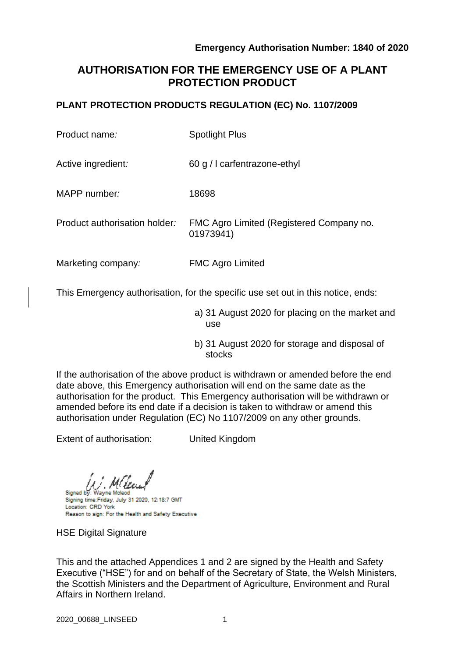# **AUTHORISATION FOR THE EMERGENCY USE OF A PLANT PROTECTION PRODUCT**

# **PLANT PROTECTION PRODUCTS REGULATION (EC) No. 1107/2009**

| Product name:                 | <b>Spotlight Plus</b>                                 |  |
|-------------------------------|-------------------------------------------------------|--|
| Active ingredient:            | 60 g / I carfentrazone-ethyl                          |  |
| MAPP number:                  | 18698                                                 |  |
| Product authorisation holder: | FMC Agro Limited (Registered Company no.<br>01973941) |  |
| Marketing company:            | <b>FMC Agro Limited</b>                               |  |

This Emergency authorisation, for the specific use set out in this notice, ends:

- a) 31 August 2020 for placing on the market and use
- b) 31 August 2020 for storage and disposal of stocks

If the authorisation of the above product is withdrawn or amended before the end date above, this Emergency authorisation will end on the same date as the authorisation for the product. This Emergency authorisation will be withdrawn or amended before its end date if a decision is taken to withdraw or amend this authorisation under Regulation (EC) No 1107/2009 on any other grounds.

Extent of authorisation: United Kingdom

Signed by Signing time: Friday, July 31 2020, 12:18:7 GMT Location: CRD York Reason to sign: For the Health and Safety Executive

HSE Digital Signature

This and the attached Appendices 1 and 2 are signed by the Health and Safety Executive ("HSE") for and on behalf of the Secretary of State, the Welsh Ministers, the Scottish Ministers and the Department of Agriculture, Environment and Rural Affairs in Northern Ireland.

2020\_00688\_LINSEED 1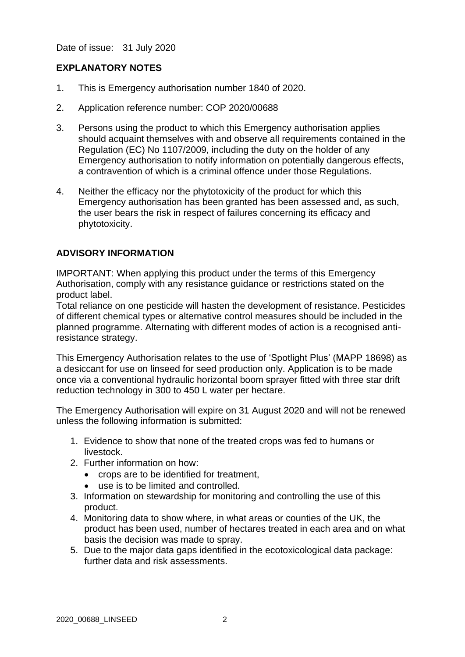Date of issue: 31 July 2020

# **EXPLANATORY NOTES**

- 1. This is Emergency authorisation number 1840 of 2020.
- 2. Application reference number: COP 2020/00688
- 3. Persons using the product to which this Emergency authorisation applies should acquaint themselves with and observe all requirements contained in the Regulation (EC) No 1107/2009, including the duty on the holder of any Emergency authorisation to notify information on potentially dangerous effects, a contravention of which is a criminal offence under those Regulations.
- 4. Neither the efficacy nor the phytotoxicity of the product for which this Emergency authorisation has been granted has been assessed and, as such, the user bears the risk in respect of failures concerning its efficacy and phytotoxicity.

#### **ADVISORY INFORMATION**

IMPORTANT: When applying this product under the terms of this Emergency Authorisation, comply with any resistance guidance or restrictions stated on the product label.

Total reliance on one pesticide will hasten the development of resistance. Pesticides of different chemical types or alternative control measures should be included in the planned programme. Alternating with different modes of action is a recognised antiresistance strategy.

This Emergency Authorisation relates to the use of 'Spotlight Plus' (MAPP 18698) as a desiccant for use on linseed for seed production only. Application is to be made once via a conventional hydraulic horizontal boom sprayer fitted with three star drift reduction technology in 300 to 450 L water per hectare.

The Emergency Authorisation will expire on 31 August 2020 and will not be renewed unless the following information is submitted:

- 1. Evidence to show that none of the treated crops was fed to humans or livestock.
- 2. Further information on how:
	- crops are to be identified for treatment,
	- use is to be limited and controlled.
- 3. Information on stewardship for monitoring and controlling the use of this product.
- 4. Monitoring data to show where, in what areas or counties of the UK, the product has been used, number of hectares treated in each area and on what basis the decision was made to spray.
- 5. Due to the major data gaps identified in the ecotoxicological data package: further data and risk assessments.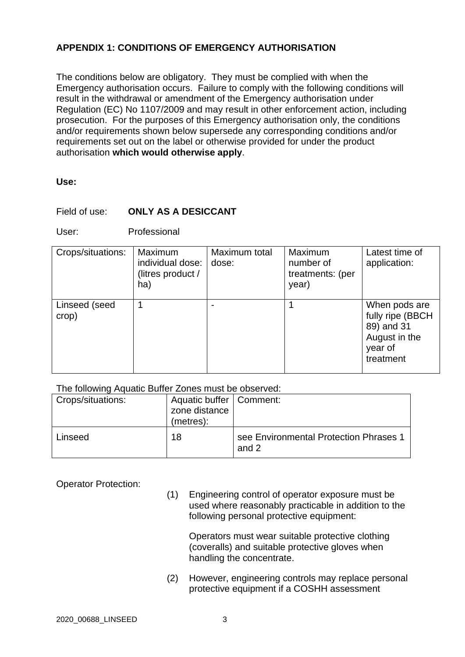# **APPENDIX 1: CONDITIONS OF EMERGENCY AUTHORISATION**

The conditions below are obligatory. They must be complied with when the Emergency authorisation occurs. Failure to comply with the following conditions will result in the withdrawal or amendment of the Emergency authorisation under Regulation (EC) No 1107/2009 and may result in other enforcement action, including prosecution. For the purposes of this Emergency authorisation only, the conditions and/or requirements shown below supersede any corresponding conditions and/or requirements set out on the label or otherwise provided for under the product authorisation **which would otherwise apply**.

#### **Use:**

#### Field of use: **ONLY AS A DESICCANT**

User: Professional

| Crops/situations:      | Maximum<br>individual dose:<br>(litres product /<br>ha) | Maximum total<br>dose: | Maximum<br>number of<br>treatments: (per<br>year) | Latest time of<br>application:                                                           |
|------------------------|---------------------------------------------------------|------------------------|---------------------------------------------------|------------------------------------------------------------------------------------------|
| Linseed (seed<br>crop) | 1                                                       |                        |                                                   | When pods are<br>fully ripe (BBCH<br>89) and 31<br>August in the<br>year of<br>treatment |

#### The following Aquatic Buffer Zones must be observed:

| <b>Crops/situations:</b> | Aquatic buffer   Comment:<br>zone distance<br>(metres): |                                                 |
|--------------------------|---------------------------------------------------------|-------------------------------------------------|
| Linseed                  | 18                                                      | see Environmental Protection Phrases 1<br>and 2 |

Operator Protection:

(1) Engineering control of operator exposure must be used where reasonably practicable in addition to the following personal protective equipment:

Operators must wear suitable protective clothing (coveralls) and suitable protective gloves when handling the concentrate.

(2) However, engineering controls may replace personal protective equipment if a COSHH assessment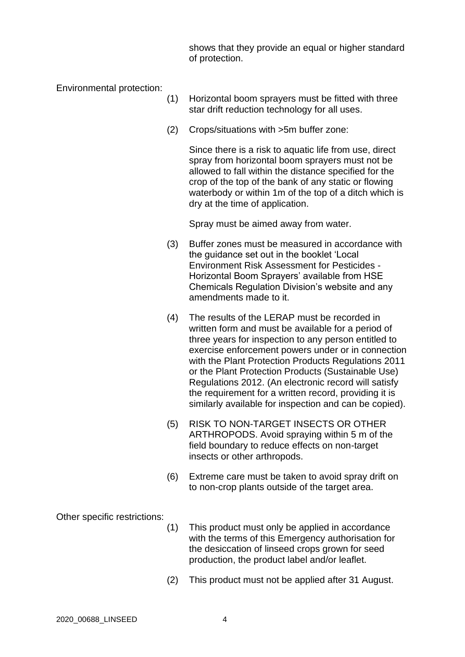shows that they provide an equal or higher standard of protection.

Environmental protection:

- (1) Horizontal boom sprayers must be fitted with three star drift reduction technology for all uses.
- (2) Crops/situations with >5m buffer zone:

Since there is a risk to aquatic life from use, direct spray from horizontal boom sprayers must not be allowed to fall within the distance specified for the crop of the top of the bank of any static or flowing waterbody or within 1m of the top of a ditch which is dry at the time of application.

Spray must be aimed away from water.

- (3) Buffer zones must be measured in accordance with the guidance set out in the booklet 'Local Environment Risk Assessment for Pesticides - Horizontal Boom Sprayers' available from HSE Chemicals Regulation Division's website and any amendments made to it.
- (4) The results of the LERAP must be recorded in written form and must be available for a period of three years for inspection to any person entitled to exercise enforcement powers under or in connection with the Plant Protection Products Regulations 2011 or the Plant Protection Products (Sustainable Use) Regulations 2012. (An electronic record will satisfy the requirement for a written record, providing it is similarly available for inspection and can be copied).
- (5) RISK TO NON-TARGET INSECTS OR OTHER ARTHROPODS. Avoid spraying within 5 m of the field boundary to reduce effects on non-target insects or other arthropods.
- (6) Extreme care must be taken to avoid spray drift on to non-crop plants outside of the target area.

Other specific restrictions:

- (1) This product must only be applied in accordance with the terms of this Emergency authorisation for the desiccation of linseed crops grown for seed production, the product label and/or leaflet.
- (2) This product must not be applied after 31 August.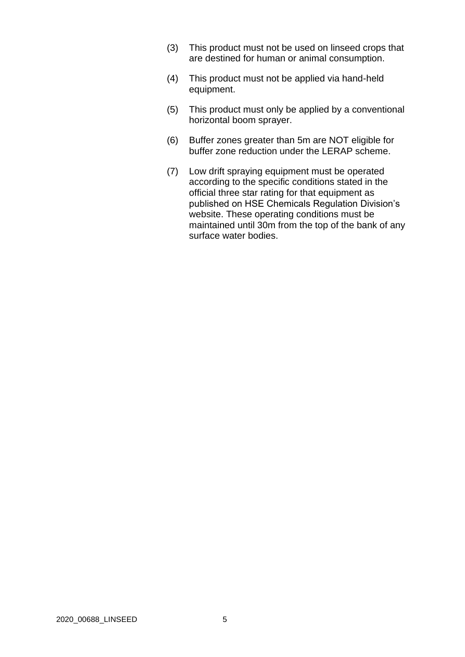- (3) This product must not be used on linseed crops that are destined for human or animal consumption.
- (4) This product must not be applied via hand-held equipment.
- (5) This product must only be applied by a conventional horizontal boom sprayer.
- (6) Buffer zones greater than 5m are NOT eligible for buffer zone reduction under the LERAP scheme.
- (7) Low drift spraying equipment must be operated according to the specific conditions stated in the official three star rating for that equipment as published on HSE Chemicals Regulation Division's website. These operating conditions must be maintained until 30m from the top of the bank of any surface water bodies.